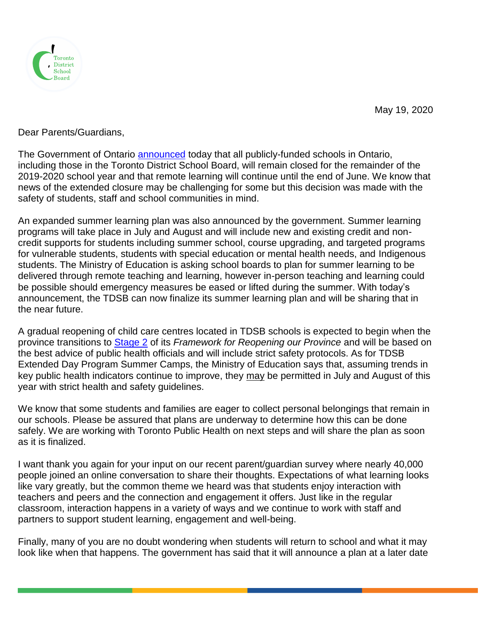

May 19, 2020

Dear Parents/Guardians,

The Government of Ontario **announced** today that all publicly-funded schools in Ontario, including those in the Toronto District School Board, will remain closed for the remainder of the 2019-2020 school year and that remote learning will continue until the end of June. We know that news of the extended closure may be challenging for some but this decision was made with the safety of students, staff and school communities in mind.

An expanded summer learning plan was also announced by the government. Summer learning programs will take place in July and August and will include new and existing credit and noncredit supports for students including summer school, course upgrading, and targeted programs for vulnerable students, students with special education or mental health needs, and Indigenous students. The Ministry of Education is asking school boards to plan for summer learning to be delivered through remote teaching and learning, however in-person teaching and learning could be possible should emergency measures be eased or lifted during the summer. With today's announcement, the TDSB can now finalize its summer learning plan and will be sharing that in the near future.

A gradual reopening of child care centres located in TDSB schools is expected to begin when the province transitions to [Stage 2](https://www.ontario.ca/page/reopening-ontario-stages) of its *Framework for Reopening our Province* and will be based on the best advice of public health officials and will include strict safety protocols. As for TDSB Extended Day Program Summer Camps, the Ministry of Education says that, assuming trends in key public health indicators continue to improve, they may be permitted in July and August of this year with strict health and safety guidelines.

We know that some students and families are eager to collect personal belongings that remain in our schools. Please be assured that plans are underway to determine how this can be done safely. We are working with Toronto Public Health on next steps and will share the plan as soon as it is finalized.

I want thank you again for your input on our recent parent/guardian survey where nearly 40,000 people joined an online conversation to share their thoughts. Expectations of what learning looks like vary greatly, but the common theme we heard was that students enjoy interaction with teachers and peers and the connection and engagement it offers. Just like in the regular classroom, interaction happens in a variety of ways and we continue to work with staff and partners to support student learning, engagement and well-being.

Finally, many of you are no doubt wondering when students will return to school and what it may look like when that happens. The government has said that it will announce a plan at a later date